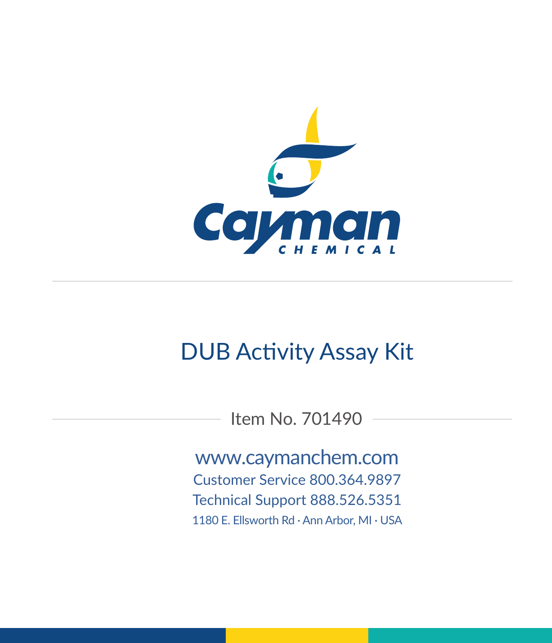

# DUB Activity Assay Kit

Item No. 701490

www.caymanchem.com Customer Service 800.364.9897 Technical Support 888.526.5351 1180 E. Ellsworth Rd · Ann Arbor, MI · USA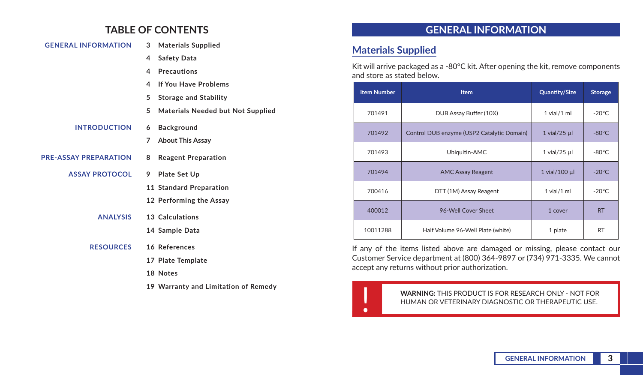## **TABLE OF CONTENTS**

| <b>GENERAL INFORMATION</b>   |   | 3 Materials Supplied                     |
|------------------------------|---|------------------------------------------|
|                              | 4 | <b>Safety Data</b>                       |
|                              | 4 | <b>Precautions</b>                       |
|                              | 4 | If You Have Problems                     |
|                              | 5 | <b>Storage and Stability</b>             |
|                              | 5 | <b>Materials Needed but Not Supplied</b> |
| <b>INTRODUCTION</b>          | 6 | Background                               |
|                              | 7 | <b>About This Assay</b>                  |
| <b>PRE-ASSAY PREPARATION</b> | 8 | <b>Reagent Preparation</b>               |
| <b>ASSAY PROTOCOL</b>        | 9 | <b>Plate Set Up</b>                      |
|                              |   | 11 Standard Preparation                  |
|                              |   | 12 Performing the Assay                  |
| <b>ANALYSIS</b>              |   | 13 Calculations                          |
|                              |   | 14 Sample Data                           |
| <b>RESOURCES</b>             |   | 16 References                            |
|                              |   | 17 Plate Template                        |
|                              |   | 18 Notes                                 |
|                              |   | 19 Warranty and Limitation of Remedy     |

## **GENERAL INFORMATION**

## **Materials Supplied**

Kit will arrive packaged as a -80°C kit. After opening the kit, remove components and store as stated below.

| <b>Item Number</b> | <b>Item</b>                                | <b>Quantity/Size</b> | <b>Storage</b>  |
|--------------------|--------------------------------------------|----------------------|-----------------|
| 701491             | DUB Assay Buffer (10X)                     | $1$ vial/ $1$ ml     | $-20^{\circ}$ C |
| 701492             | Control DUB enzyme (USP2 Catalytic Domain) | $1$ vial/25 $\mu$    | $-80^{\circ}$ C |
| 701493             | Ubiquitin-AMC                              | $1$ vial/25 $\mu$    | $-80^{\circ}$ C |
| 701494             | <b>AMC Assay Reagent</b>                   | 1 vial/100 µl        | $-20^{\circ}$ C |
| 700416             | DTT (1M) Assay Reagent                     | $1$ vial/ $1$ ml     | $-20^{\circ}$ C |
| 400012             | 96-Well Cover Sheet                        | 1 cover              | <b>RT</b>       |
| 10011288           | Half Volume 96-Well Plate (white)          | 1 plate              | <b>RT</b>       |

If any of the items listed above are damaged or missing, please contact our Customer Service department at (800) 364-9897 or (734) 971-3335. We cannot accept any returns without prior authorization.

WARNING: THIS PRODUCT IS FOR RESEARCH ONLY - NOT FOR<br>HUMAN OR VETERINARY DIAGNOSTIC OR THERAPEUTIC USE. HUMAN OR VETERINARY DIAGNOSTIC OR THERAPEUTIC USE.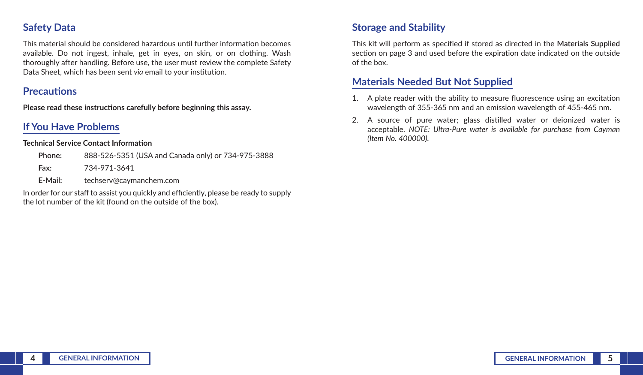## **Safety Data**

This material should be considered hazardous until further information becomes available. Do not ingest, inhale, get in eyes, on skin, or on clothing. Wash thoroughly after handling. Before use, the user must review the complete Safety Data Sheet, which has been sent *via* email to your institution.

### **Precautions**

**Please read these instructions carefully before beginning this assay.**

## **If You Have Problems**

#### **Technical Service Contact Information**

| Phone:  | 888-526-5351 (USA and Canada only) or 734-975-3888 |
|---------|----------------------------------------------------|
| Fax:    | 734-971-3641                                       |
| E-Mail: | techserv@caymanchem.com                            |

In order for our staff to assist you quickly and efficiently, please be ready to supply the lot number of the kit (found on the outside of the box).

## **Storage and Stability**

This kit will perform as specified if stored as directed in the **Materials Supplied** section on page 3 and used before the expiration date indicated on the outside of the box.

## **Materials Needed But Not Supplied**

- 1. A plate reader with the ability to measure fluorescence using an excitation wavelength of 355-365 nm and an emission wavelength of 455-465 nm.
- 2. A source of pure water; glass distilled water or deionized water is acceptable. *NOTE: Ultra-Pure water is available for purchase from Cayman (Item No. 400000).*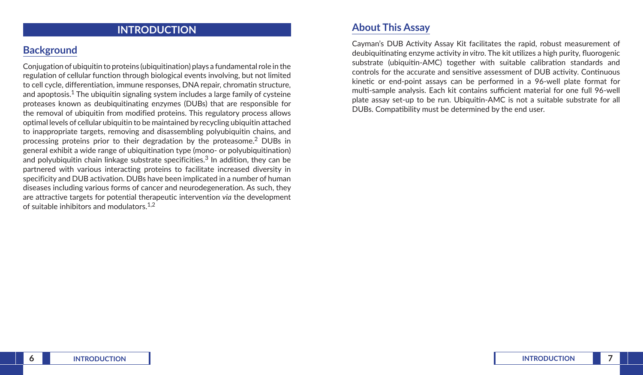## **INTRODUCTION**

## **Background**

Conjugation of ubiquitin to proteins (ubiquitination) plays a fundamental role in the regulation of cellular function through biological events involving, but not limited to cell cycle, differentiation, immune responses, DNA repair, chromatin structure, and apoptosis.<sup>1</sup> The ubiquitin signaling system includes a large family of cysteine proteases known as deubiquitinating enzymes (DUBs) that are responsible for the removal of ubiquitin from modified proteins. This regulatory process allows optimal levels of cellular ubiquitin to be maintained by recycling ubiquitin attached to inappropriate targets, removing and disassembling polyubiquitin chains, and processing proteins prior to their degradation by the proteasome.2 DUBs in general exhibit a wide range of ubiquitination type (mono- or polyubiquitination) and polyubiquitin chain linkage substrate specificities.<sup>3</sup> In addition, they can be partnered with various interacting proteins to facilitate increased diversity in specificity and DUB activation. DUBs have been implicated in a number of human diseases including various forms of cancer and neurodegeneration. As such, they are attractive targets for potential therapeutic intervention *via* the development of suitable inhibitors and modulators.1,2

### **About This Assay**

Cayman's DUB Activity Assay Kit facilitates the rapid, robust measurement of deubiquitinating enzyme activity *in vitro*. The kit utilizes a high purity, fluorogenic substrate (ubiquitin-AMC) together with suitable calibration standards and controls for the accurate and sensitive assessment of DUB activity. Continuous kinetic or end-point assays can be performed in a 96-well plate format for multi-sample analysis. Each kit contains sufficient material for one full 96-well plate assay set-up to be run. Ubiquitin-AMC is not a suitable substrate for all DUBs. Compatibility must be determined by the end user.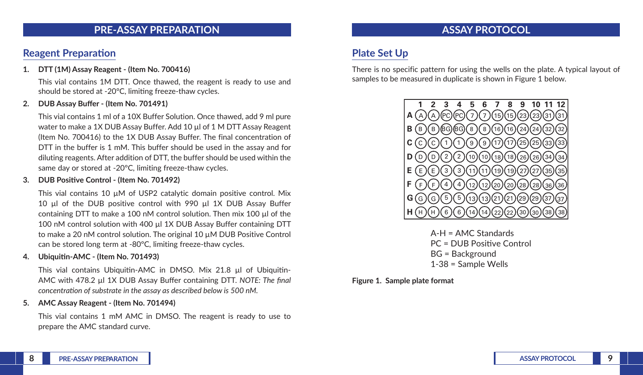### **PRE-ASSAY PREPARATION**

## **Reagent Preparation**

#### **1. DTT (1M) Assay Reagent - (Item No. 700416)**

This vial contains 1M DTT. Once thawed, the reagent is ready to use and should be stored at -20°C, limiting freeze-thaw cycles.

#### **2. DUB Assay Buffer - (Item No. 701491)**

This vial contains 1 ml of a 10X Buffer Solution. Once thawed, add 9 ml pure water to make a 1X DUB Assay Buffer. Add 10 µl of 1 M DTT Assay Reagent (Item No. 700416) to the 1X DUB Assay Buffer. The final concentration of DTT in the buffer is 1 mM. This buffer should be used in the assay and for diluting reagents. After addition of DTT, the buffer should be used within the same day or stored at -20ºC, limiting freeze-thaw cycles.

#### **3. DUB Positive Control - (Item No. 701492)**

This vial contains 10  $\mu$ M of USP2 catalytic domain positive control. Mix 10 µl of the DUB positive control with 990 µl 1X DUB Assay Buffer containing DTT to make a 100 nM control solution. Then mix 100 µl of the 100 nM control solution with 400 µl 1X DUB Assay Buffer containing DTT to make a 20 nM control solution. The original 10 µM DUB Positive Control can be stored long term at -80ºC, limiting freeze-thaw cycles.

#### **4. Ubiquitin-AMC - (Item No. 701493)**

This vial contains Ubiquitin-AMC in DMSO. Mix 21.8 µl of Ubiquitin-AMC with 478.2 µl 1X DUB Assay Buffer containing DTT. *NOTE: The final concentration of substrate in the assay as described below is 500 nM.*

#### **5. AMC Assay Reagent - (Item No. 701494)**

This vial contains 1 mM AMC in DMSO. The reagent is ready to use to prepare the AMC standard curve.

## **ASSAY PROTOCOL**

## **Plate Set Up**

There is no specific pattern for using the wells on the plate. A typical layout of samples to be measured in duplicate is shown in Figure 1 below.



A-H = AMC Standards PC = DUB Positive Control BG = Background 1-38 = Sample Wells

**Figure 1. Sample plate format**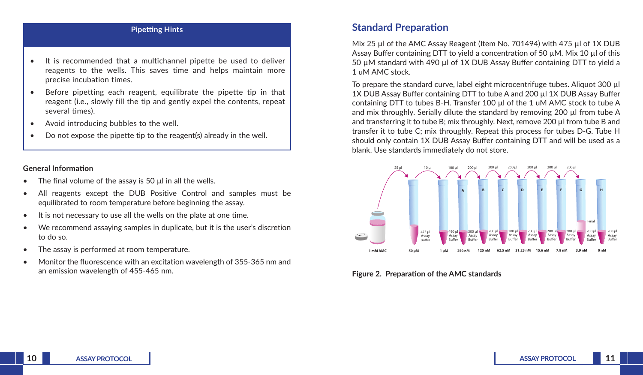#### **Pipetting Hints**

- It is recommended that a multichannel pipette be used to deliver reagents to the wells. This saves time and helps maintain more precise incubation times.
- Before pipetting each reagent, equilibrate the pipette tip in that reagent (i.e., slowly fill the tip and gently expel the contents, repeat several times).
- Avoid introducing bubbles to the well.
- Do not expose the pipette tip to the reagent(s) already in the well.

#### **General Information**

- The final volume of the assay is 50  $\mu$ l in all the wells.
- All reagents except the DUB Positive Control and samples must be equilibrated to room temperature before beginning the assay.
- It is not necessary to use all the wells on the plate at one time.
- We recommend assaying samples in duplicate, but it is the user's discretion to do so.
- The assay is performed at room temperature.
- Monitor the fluorescence with an excitation wavelength of 355-365 nm and an emission wavelength of 455-465 nm.

### **Standard Preparation**

Mix 25 ul of the AMC Assay Reagent (Item No. 701494) with 475 ul of 1X DUB Assay Buffer containing DTT to yield a concentration of 50 uM. Mix 10 ul of this 50 µM standard with 490 µl of 1X DUB Assay Buffer containing DTT to yield a 1 uM AMC stock.

To prepare the standard curve, label eight microcentrifuge tubes. Aliquot 300 µl 1X DUB Assay Buffer containing DTT to tube A and 200 µl 1X DUB Assay Buffer containing DTT to tubes B-H. Transfer 100 µl of the 1 uM AMC stock to tube A and mix throughly. Serially dilute the standard by removing 200 µl from tube A and transferring it to tube B; mix throughly. Next, remove 200 µl from tube B and transfer it to tube C; mix throughly. Repeat this process for tubes D-G. Tube H should only contain 1X DUB Assay Buffer containing DTT and will be used as a blank. Use standards immediately do not store.



**Figure 2. Preparation of the AMC standards**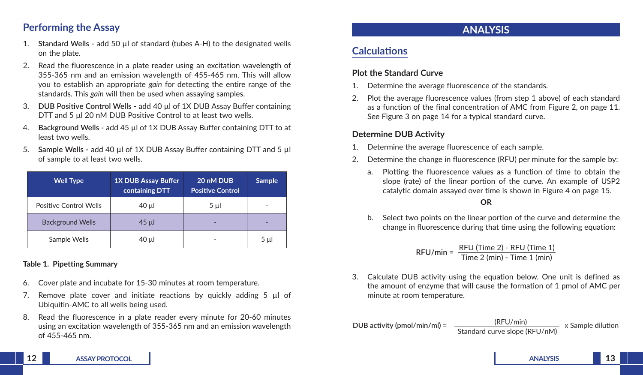## **Performing the Assay**

- 1. **Standard Wells -** add 50 µl of standard (tubes A-H) to the designated wells on the plate.
- 2. Read the fluorescence in a plate reader using an excitation wavelength of 355-365 nm and an emission wavelength of 455-465 nm. This will allow you to establish an appropriate *gain* for detecting the entire range of the standards. This *gain* will then be used when assaying samples.
- 3. **DUB Positive Control Wells** add 40 µl of 1X DUB Assay Buffer containing DTT and 5 µl 20 nM DUB Positive Control to at least two wells.
- 4. **Background Wells -** add 45 µl of 1X DUB Assay Buffer containing DTT to at least two wells.
- 5. **Sample Wells -** add 40 µl of 1X DUB Assay Buffer containing DTT and 5 µl of sample to at least two wells.

| <b>Well Type</b>        | <b>1X DUB Assay Buffer</b><br>containing DTT | 20 nM DUB<br><b>Positive Control</b> | <b>Sample</b> |
|-------------------------|----------------------------------------------|--------------------------------------|---------------|
| Positive Control Wells  | 40 µl                                        | $5 \mu$                              | -             |
| <b>Background Wells</b> | $45$ µ                                       |                                      |               |
| Sample Wells            | 40 µl                                        |                                      | $5 \mu$       |

#### **Table 1. Pipetting Summary**

- 6. Cover plate and incubate for 15-30 minutes at room temperature.
- 7. Remove plate cover and initiate reactions by quickly adding 5 µl of Ubiquitin-AMC to all wells being used.
- 8. Read the fluorescence in a plate reader every minute for 20-60 minutes using an excitation wavelength of 355-365 nm and an emission wavelength of 455-465 nm.

## **ANALYSIS**

## **Calculations**

#### **Plot the Standard Curve**

- 1. Determine the average fluorescence of the standards.
- 2. Plot the average fluorescence values (from step 1 above) of each standard as a function of the final concentration of AMC from Figure 2, on page 11. See Figure 3 on page 14 for a typical standard curve.

### **Determine DUB Activity**

- 1. Determine the average fluorescence of each sample.
- 2. Determine the change in fluorescence (RFU) per minute for the sample by:
	- a. Plotting the fluorescence values as a function of time to obtain the slope (rate) of the linear portion of the curve. An example of USP2 catalytic domain assayed over time is shown in Figure 4 on page 15.

#### **OR**

b. Select two points on the linear portion of the curve and determine the change in fluorescence during that time using the following equation:

$$
RFU/min = \frac{RFU (Time 2) - RFU (Time 1)}{Time 2 (min) - Time 1 (min)}
$$

- 3. Calculate DUB activity using the equation below. One unit is defined as the amount of enzyme that will cause the formation of 1 pmol of AMC per minute at room temperature.
- **DUB activity (pmol/min/ml) =**  $\frac{(RFU/min)}{X}$  x Sample dilution Standard curve slope (RFU/nM)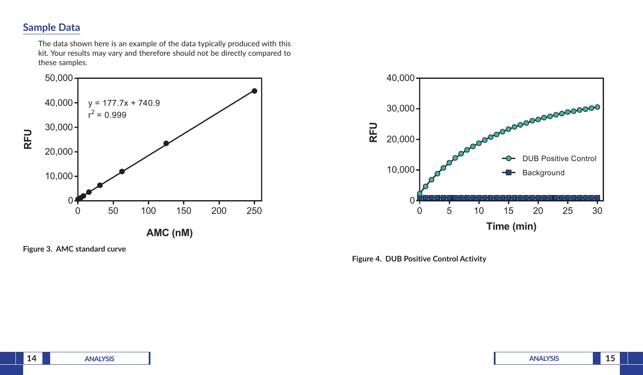## **Sample Data**

The data shown here is an example of the data typically produced with this kit. Your results may vary and therefore should not be directly compared to these samples.



**Figure 3. AMC standard curve**



**Figure 4. DUB Positive Control Activity**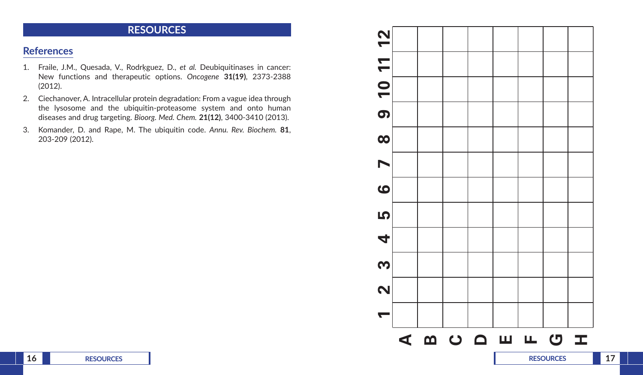## **RESOURCES**

## **References**

- 1. Fraile, J.M., Quesada, V., Rodrķguez, D., *et al.* Deubiquitinases in cancer: New functions and therapeutic options. *Oncogene* **31(19)**, 2373-2388 (2012).
- 2. Ciechanover, A. Intracellular protein degradation: From a vague idea through the lysosome and the ubiquitin-proteasome system and onto human diseases and drug targeting. *Bioorg. Med. Chem.* **21(12)**, 3400-3410 (2013).
- 3. Komander, D. and Rape, M. The ubiquitin code. *Annu. Rev. Biochem.* **81**, 203-209 (2012).